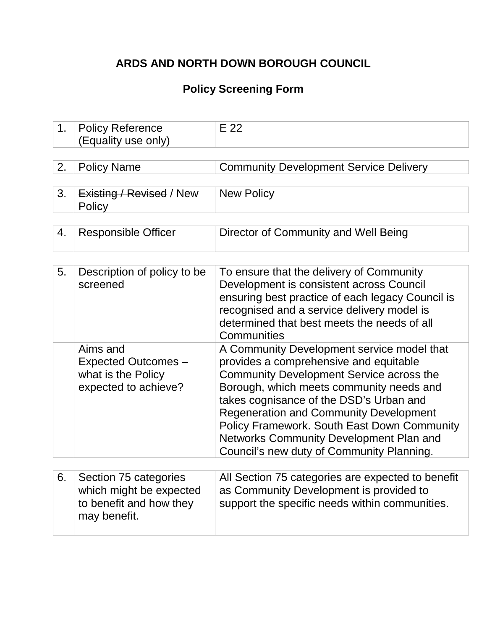## **ARDS AND NORTH DOWN BOROUGH COUNCIL**

## **Policy Screening Form**

| 1. | <b>Policy Reference</b><br>(Equality use only)                                              | E 22                                                                                                                                                                                                                                                                                                                                                                                                                   |
|----|---------------------------------------------------------------------------------------------|------------------------------------------------------------------------------------------------------------------------------------------------------------------------------------------------------------------------------------------------------------------------------------------------------------------------------------------------------------------------------------------------------------------------|
|    |                                                                                             |                                                                                                                                                                                                                                                                                                                                                                                                                        |
| 2. | <b>Policy Name</b>                                                                          | <b>Community Development Service Delivery</b>                                                                                                                                                                                                                                                                                                                                                                          |
|    |                                                                                             |                                                                                                                                                                                                                                                                                                                                                                                                                        |
| 3. | Existing / Revised / New<br>Policy                                                          | <b>New Policy</b>                                                                                                                                                                                                                                                                                                                                                                                                      |
|    |                                                                                             |                                                                                                                                                                                                                                                                                                                                                                                                                        |
| 4. | <b>Responsible Officer</b>                                                                  | Director of Community and Well Being                                                                                                                                                                                                                                                                                                                                                                                   |
|    |                                                                                             |                                                                                                                                                                                                                                                                                                                                                                                                                        |
| 5. | Description of policy to be<br>screened                                                     | To ensure that the delivery of Community<br>Development is consistent across Council<br>ensuring best practice of each legacy Council is<br>recognised and a service delivery model is<br>determined that best meets the needs of all<br>Communities                                                                                                                                                                   |
|    | Aims and<br><b>Expected Outcomes -</b><br>what is the Policy<br>expected to achieve?        | A Community Development service model that<br>provides a comprehensive and equitable<br>Community Development Service across the<br>Borough, which meets community needs and<br>takes cognisance of the DSD's Urban and<br><b>Regeneration and Community Development</b><br><b>Policy Framework. South East Down Community</b><br>Networks Community Development Plan and<br>Council's new duty of Community Planning. |
|    |                                                                                             |                                                                                                                                                                                                                                                                                                                                                                                                                        |
| 6. | Section 75 categories<br>which might be expected<br>to benefit and how they<br>may benefit. | All Section 75 categories are expected to benefit<br>as Community Development is provided to<br>support the specific needs within communities.                                                                                                                                                                                                                                                                         |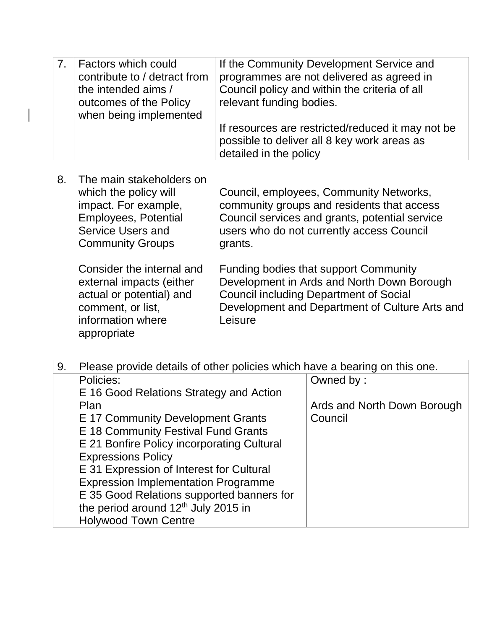| <b>Factors which could</b><br>contribute to / detract from<br>the intended aims /<br>outcomes of the Policy<br>when being implemented | If the Community Development Service and<br>programmes are not delivered as agreed in<br>Council policy and within the criteria of all<br>relevant funding bodies. |
|---------------------------------------------------------------------------------------------------------------------------------------|--------------------------------------------------------------------------------------------------------------------------------------------------------------------|
|                                                                                                                                       | If resources are restricted/reduced it may not be<br>possible to deliver all 8 key work areas as<br>detailed in the policy                                         |

 $\vert$ 

| 8. | The main stakeholders on<br>which the policy will<br>impact. For example,<br><b>Employees, Potential</b><br><b>Service Users and</b><br><b>Community Groups</b> | Council, employees, Community Networks,<br>community groups and residents that access<br>Council services and grants, potential service<br>users who do not currently access Council<br>grants. |
|----|-----------------------------------------------------------------------------------------------------------------------------------------------------------------|-------------------------------------------------------------------------------------------------------------------------------------------------------------------------------------------------|
|    | Consider the internal and<br>external impacts (either<br>actual or potential) and<br>comment, or list,                                                          | Funding bodies that support Community<br>Development in Ards and North Down Borough<br><b>Council including Department of Social</b><br>Development and Department of Culture Arts an           |

| comment, or list. | Development and Department of Culture Arts and |
|-------------------|------------------------------------------------|
| information where | Leisure                                        |
| appropriate       |                                                |
|                   |                                                |

| 9. | Please provide details of other policies which have a bearing on this one. |                             |
|----|----------------------------------------------------------------------------|-----------------------------|
|    | Policies:                                                                  | Owned by:                   |
|    | E 16 Good Relations Strategy and Action                                    |                             |
|    | Plan                                                                       | Ards and North Down Borough |
|    | E 17 Community Development Grants                                          | Council                     |
|    | E 18 Community Festival Fund Grants                                        |                             |
|    | E 21 Bonfire Policy incorporating Cultural                                 |                             |
|    | <b>Expressions Policy</b>                                                  |                             |
|    | E 31 Expression of Interest for Cultural                                   |                             |
|    | <b>Expression Implementation Programme</b>                                 |                             |
|    | E 35 Good Relations supported banners for                                  |                             |
|    | the period around 12 <sup>th</sup> July 2015 in                            |                             |
|    | <b>Holywood Town Centre</b>                                                |                             |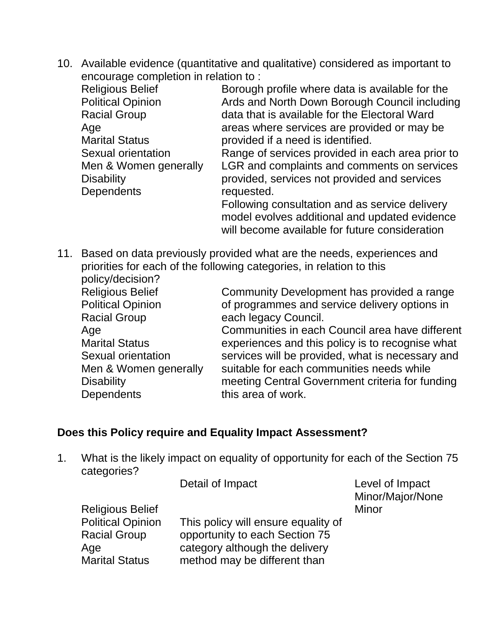10. Available evidence (quantitative and qualitative) considered as important to encourage completion in relation to :

| <b>Religious Belief</b>  | Borough profile where data is available for the  |
|--------------------------|--------------------------------------------------|
| <b>Political Opinion</b> | Ards and North Down Borough Council including    |
| <b>Racial Group</b>      | data that is available for the Electoral Ward    |
| Age                      | areas where services are provided or may be      |
| <b>Marital Status</b>    | provided if a need is identified.                |
| Sexual orientation       | Range of services provided in each area prior to |
| Men & Women generally    | LGR and complaints and comments on services      |
| <b>Disability</b>        | provided, services not provided and services     |
| <b>Dependents</b>        | requested.                                       |
|                          | Following consultation and as service delivery   |
|                          | model evolves additional and updated evidence    |

model evolves additional and updated evidence will become available for future consideration

11. Based on data previously provided what are the needs, experiences and priorities for each of the following categories, in relation to this policy/decision?

| <b>Religious Belief</b>  | Community Development has provided a range       |
|--------------------------|--------------------------------------------------|
| <b>Political Opinion</b> | of programmes and service delivery options in    |
| <b>Racial Group</b>      | each legacy Council.                             |
| Age                      | Communities in each Council area have different  |
| <b>Marital Status</b>    | experiences and this policy is to recognise what |
| Sexual orientation       | services will be provided, what is necessary and |
| Men & Women generally    | suitable for each communities needs while        |
| <b>Disability</b>        | meeting Central Government criteria for funding  |
| <b>Dependents</b>        | this area of work.                               |

### **Does this Policy require and Equality Impact Assessment?**

1. What is the likely impact on equality of opportunity for each of the Section 75 categories?

|                          | Detail of Impact                    | Level of Impact<br>Minor/Major/None |
|--------------------------|-------------------------------------|-------------------------------------|
| <b>Religious Belief</b>  |                                     | Minor                               |
| <b>Political Opinion</b> | This policy will ensure equality of |                                     |
| <b>Racial Group</b>      | opportunity to each Section 75      |                                     |
| Age                      | category although the delivery      |                                     |
| <b>Marital Status</b>    | method may be different than        |                                     |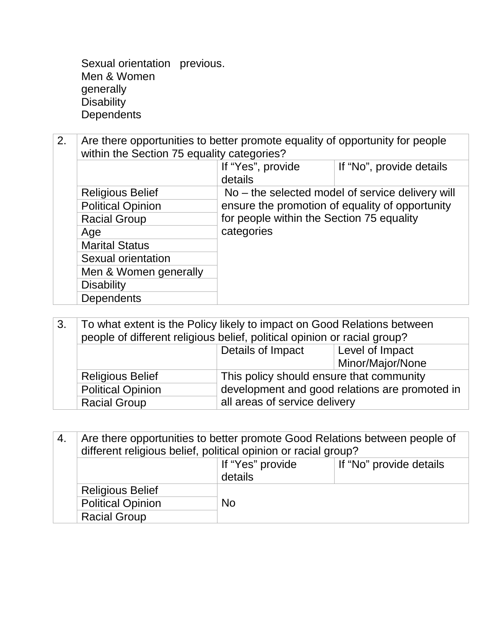Sexual orientation previous. Men & Women generally **Disability Dependents** 

2. Are there opportunities to better promote equality of opportunity for people within the Section 75 equality categories?

|                          | If "Yes", provide<br>details              | If "No", provide details                         |
|--------------------------|-------------------------------------------|--------------------------------------------------|
| <b>Religious Belief</b>  |                                           | No - the selected model of service delivery will |
| <b>Political Opinion</b> |                                           | ensure the promotion of equality of opportunity  |
| <b>Racial Group</b>      | for people within the Section 75 equality |                                                  |
| Age                      | categories                                |                                                  |
| <b>Marital Status</b>    |                                           |                                                  |
| Sexual orientation       |                                           |                                                  |
| Men & Women generally    |                                           |                                                  |
| <b>Disability</b>        |                                           |                                                  |
| <b>Dependents</b>        |                                           |                                                  |

| To what extent is the Policy likely to impact on Good Relations between<br>3.<br>people of different religious belief, political opinion or racial group? |                          |                                                                                            |                                     |
|-----------------------------------------------------------------------------------------------------------------------------------------------------------|--------------------------|--------------------------------------------------------------------------------------------|-------------------------------------|
|                                                                                                                                                           |                          | Details of Impact                                                                          | Level of Impact<br>Minor/Major/None |
|                                                                                                                                                           | <b>Religious Belief</b>  | This policy should ensure that community<br>development and good relations are promoted in |                                     |
|                                                                                                                                                           | <b>Political Opinion</b> |                                                                                            |                                     |
|                                                                                                                                                           | <b>Racial Group</b>      | all areas of service delivery                                                              |                                     |

| -4.              | Are there opportunities to better promote Good Relations between people of<br>different religious belief, political opinion or racial group? |                         |  |
|------------------|----------------------------------------------------------------------------------------------------------------------------------------------|-------------------------|--|
| If "Yes" provide |                                                                                                                                              | If "No" provide details |  |
|                  |                                                                                                                                              | details                 |  |
|                  | <b>Religious Belief</b>                                                                                                                      |                         |  |
|                  | <b>Political Opinion</b>                                                                                                                     | <b>No</b>               |  |
|                  | <b>Racial Group</b>                                                                                                                          |                         |  |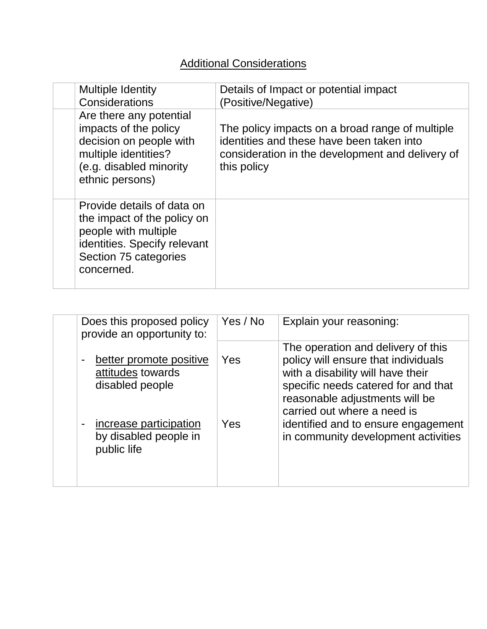## **Additional Considerations**

| <b>Multiple Identity</b><br>Considerations                                                                                                               | Details of Impact or potential impact<br>(Positive/Negative)                                                                                                    |
|----------------------------------------------------------------------------------------------------------------------------------------------------------|-----------------------------------------------------------------------------------------------------------------------------------------------------------------|
| Are there any potential<br>impacts of the policy<br>decision on people with<br>multiple identities?<br>(e.g. disabled minority<br>ethnic persons)        | The policy impacts on a broad range of multiple<br>identities and these have been taken into<br>consideration in the development and delivery of<br>this policy |
| Provide details of data on<br>the impact of the policy on<br>people with multiple<br>identities. Specify relevant<br>Section 75 categories<br>concerned. |                                                                                                                                                                 |

| Does this proposed policy<br>provide an opportunity to:                           | Yes / No | Explain your reasoning:                                                                                                                                                                                                |
|-----------------------------------------------------------------------------------|----------|------------------------------------------------------------------------------------------------------------------------------------------------------------------------------------------------------------------------|
| better promote positive<br>$\blacksquare$<br>attitudes towards<br>disabled people | Yes      | The operation and delivery of this<br>policy will ensure that individuals<br>with a disability will have their<br>specific needs catered for and that<br>reasonable adjustments will be<br>carried out where a need is |
| increase participation<br>$\blacksquare$<br>by disabled people in<br>public life  | Yes      | identified and to ensure engagement<br>in community development activities                                                                                                                                             |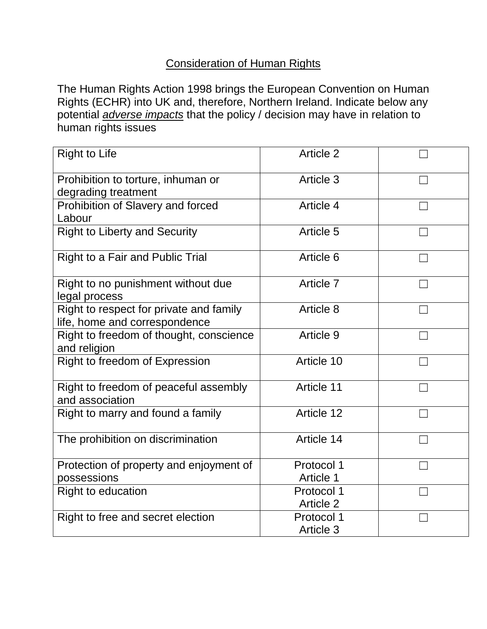### Consideration of Human Rights

The Human Rights Action 1998 brings the European Convention on Human Rights (ECHR) into UK and, therefore, Northern Ireland. Indicate below any potential *adverse impacts* that the policy / decision may have in relation to human rights issues

| <b>Right to Life</b>                                                     | Article 2               |  |
|--------------------------------------------------------------------------|-------------------------|--|
| Prohibition to torture, inhuman or<br>degrading treatment                | Article 3               |  |
| Prohibition of Slavery and forced<br>Labour                              | Article 4               |  |
| <b>Right to Liberty and Security</b>                                     | Article 5               |  |
| <b>Right to a Fair and Public Trial</b>                                  | Article 6               |  |
| Right to no punishment without due<br>legal process                      | Article 7               |  |
| Right to respect for private and family<br>life, home and correspondence | Article 8               |  |
| Right to freedom of thought, conscience<br>and religion                  | Article 9               |  |
| Right to freedom of Expression                                           | Article 10              |  |
| Right to freedom of peaceful assembly<br>and association                 | Article 11              |  |
| Right to marry and found a family                                        | Article 12              |  |
| The prohibition on discrimination                                        | Article 14              |  |
| Protection of property and enjoyment of<br>possessions                   | Protocol 1<br>Article 1 |  |
| <b>Right to education</b>                                                | Protocol 1<br>Article 2 |  |
| Right to free and secret election                                        | Protocol 1<br>Article 3 |  |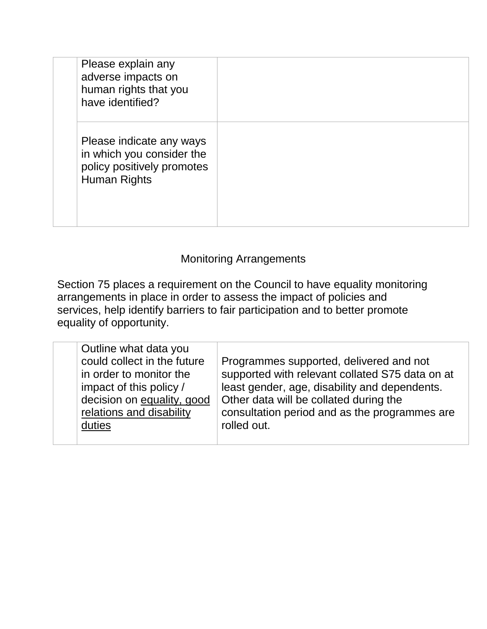| Please explain any<br>adverse impacts on<br>human rights that you<br>have identified?               |  |
|-----------------------------------------------------------------------------------------------------|--|
| Please indicate any ways<br>in which you consider the<br>policy positively promotes<br>Human Rights |  |

#### Monitoring Arrangements

Section 75 places a requirement on the Council to have equality monitoring arrangements in place in order to assess the impact of policies and services, help identify barriers to fair participation and to better promote equality of opportunity.

| Outline what data you<br>could collect in the future<br>in order to monitor the<br>impact of this policy /<br>decision on equality, good<br>relations and disability<br>duties | Programmes supported, delivered and not<br>supported with relevant collated S75 data on at<br>least gender, age, disability and dependents.<br>Other data will be collated during the<br>consultation period and as the programmes are<br>rolled out. |
|--------------------------------------------------------------------------------------------------------------------------------------------------------------------------------|-------------------------------------------------------------------------------------------------------------------------------------------------------------------------------------------------------------------------------------------------------|
|--------------------------------------------------------------------------------------------------------------------------------------------------------------------------------|-------------------------------------------------------------------------------------------------------------------------------------------------------------------------------------------------------------------------------------------------------|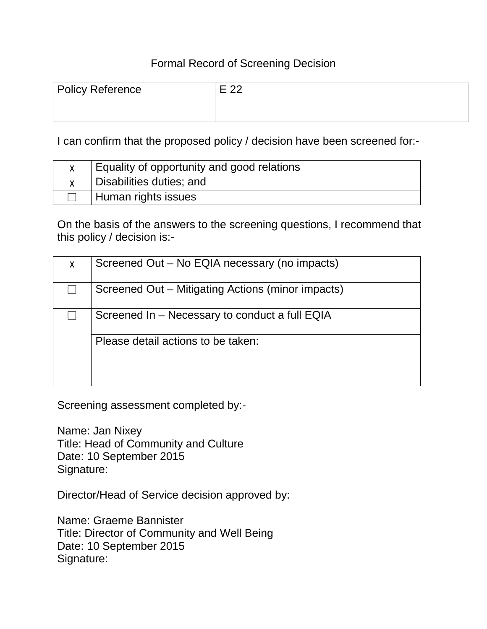#### Formal Record of Screening Decision

| Policy Reference | <b>L</b> טט |
|------------------|-------------|
|                  |             |

I can confirm that the proposed policy / decision have been screened for:-

| Equality of opportunity and good relations |
|--------------------------------------------|
| Disabilities duties; and                   |
| Human rights issues                        |

On the basis of the answers to the screening questions, I recommend that this policy / decision is:-

| X | Screened Out – No EQIA necessary (no impacts)     |
|---|---------------------------------------------------|
|   | Screened Out – Mitigating Actions (minor impacts) |
|   | Screened In – Necessary to conduct a full EQIA    |
|   | Please detail actions to be taken:                |

Screening assessment completed by:-

Name: Jan Nixey Title: Head of Community and Culture Date: 10 September 2015 Signature:

Director/Head of Service decision approved by:

Name: Graeme Bannister Title: Director of Community and Well Being Date: 10 September 2015 Signature: